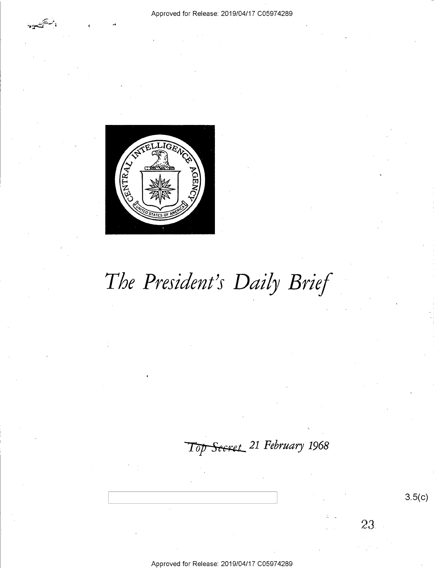

# The President's Daily Brief

Top Secret 21 February 1968

 $3.5(c)$ 

23

Approved for Release: 2019/04/17 C05974289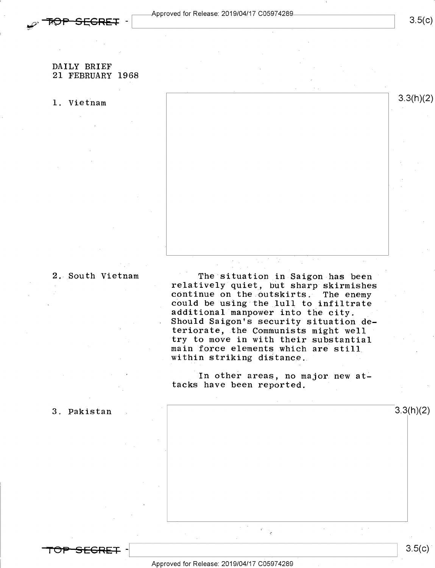

## $3.5(c)$

### DAILY BRIEF 21 FEBRUARY 1968

# 1. Vietnam  $3.3(h)(2)$

2. South Vietnam The situation in Saigon has been<br>relatively quiet, but sharp skirmishes continue on the outskirts. The enemy<br>could be using the lull to infiltrate<br>additional manpower into the city. = Should Saigon's security situation deteriorate, the Communists might well<br>try to move in with their substantial main force elements which are still within striking distance.

> In other areas, no major new attacks have been reported.

> > »

3. Pakistan  $3.3(1)(2)$ 

"TOP"SEGRET -

 $3.5(c)$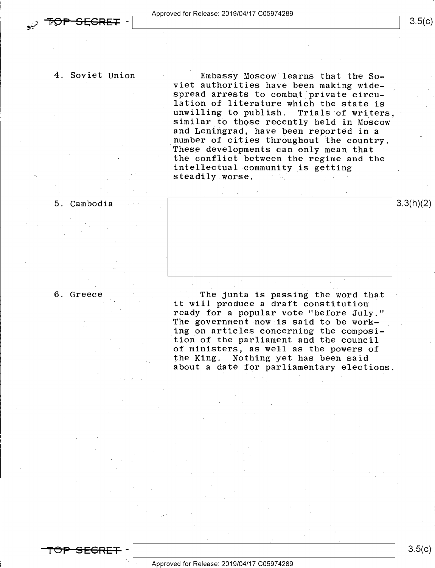4. Soviet Union - Embassy Moscow learns that the Soviet authorities have been making wide-<br>spread arrests to combat private circulation of literature which the state is<br>unwilling to publish. Trials of writers,<br>similar to those recently held in Moscow and Leningrad, have been reported in a<br>number of cities throughout the country. These developments can only mean that<br>the conflict between the regime and the intellectual community is getting steadily worse.

5. Cambodia i  $\vert$  3.3(h)(2)

6. Greece

The junta is passing the word that<br>it will produce a draft constitution ready for a popular vote "before July." The government now is said to be working on articles concerning the composition of the parliament and the council of ministers, as well as the powers of the King. Nothing yet has been said about a date for parliamentary elections.

<del>SECRET</del>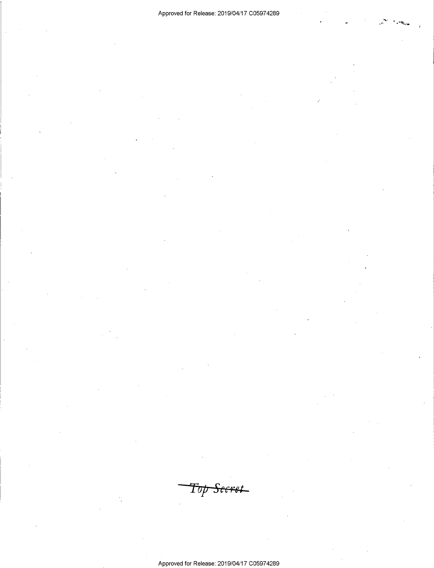Top <del>Secret</del>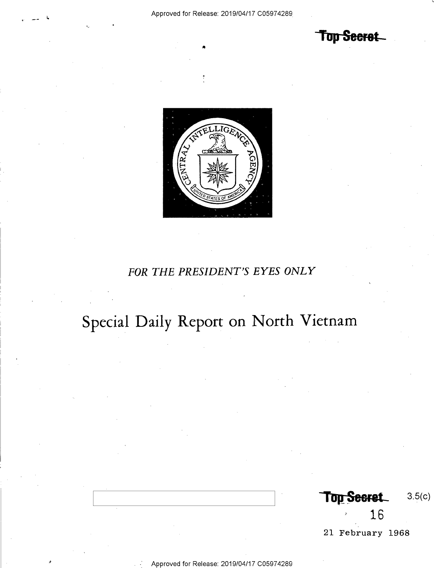Top Seeret



## FOR THE PRESIDENT'S EYES ONLY

# Special Daily Report on North Vietnam

Top Secret  $3.5(c)$ 16

21 February 1968

'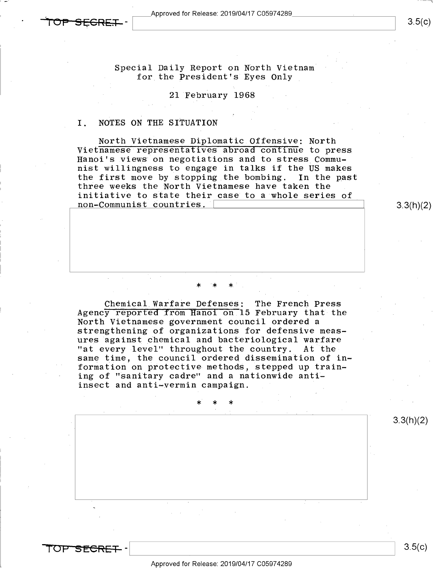

 $3.5(c)$ 

 $\overline{\phantom{a}}$ 

Special Daily Report on North Vietnam for the President's Eyes Only

### 21 February 1968

### I. NOTES ON THE SITUATION

North Vietnamese Diplomatic Offensive: North<br>Vietnamese representatives abroad continue to press Hanoi's views on negotiations and to stress Communist willingness to engage in talks if the US makes the first move by stopping the bombing. In the past three weeks the North Vietnamese have taken the initiative to state their case to a whole series of  $non-Communist \ countries. \ \ \hspace{2cm} 3.3(h)(2)$ 

Chemical Warfare Defenses: The French Press<br>Agency reported from Hanoi on 15 February that the North Vietnamese government council ordered a strengthening of organizations for defensive measures against chemical and bacteriological warfare<br>"at every level" throughout the country. At the "at every level" throughout the country. At the<br>same time, the council ordered dissemination of information on protective methods, stepped up training of "sanitary cadre" and a nationwide antiinsect and anti-vermin campaign.

## \*' \* \*

3.3(h)(2)

5F<del>CRF</del>

 $3.5(c)$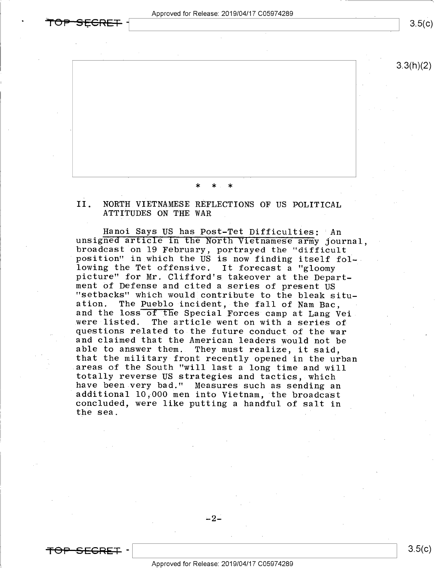Approved for Release: 2019/04/17 C05974289



3.3(h)(2)

>|< \* \*

Il, NORTH VIETNAMESE REFLECTIONS OF US POLITICAL ATTITUDES ON THE WAR

Hanoi Says US has Post-Tet Difficulties: 'An unsigned article in the North Vietnamese army journal, broadcast on 19 February, portrayed the "difficult<br>position" in which the US is now finding itself fol-<br>lowing the Tet offensive. It forecast a "gloomy<br>picture" for Mr. Clifford's takeover at the Depart-<br>ment of Defense an were listed. The article went on with a series of<br>questions related to the future conduct of the war<br>and claimed that the American leaders would not be able to answer them. They must realize, it said,<br>that the military front recently opened in the urban<br>areas of the South "will last a long time and will<br>totally reverse US strategies and tactics, which<br>have been very bad." the sea.



 $-2-$ 

 $3.5(c)$